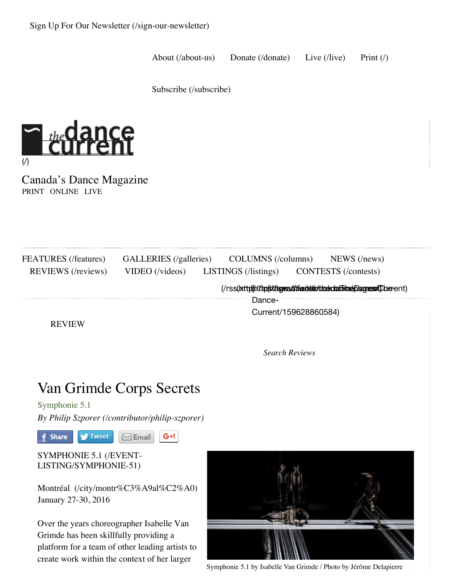About (/about-us) Donate (/donate) Live (/live) Print (/)

Subscribe (/subscribe)



Canada's Dance Magazine PRINT ONLINE LIVE

| FEATURES (/features)<br><b>REVIEWS</b> (/reviews) | GALLERIES (/galleries)<br>VIDEO (/videos)                         | COLUMNS (/columns)<br>LISTINGS (/listings)                        | $NEWS$ (/news)<br><b>CONTESTS</b> (/contests) |  |
|---------------------------------------------------|-------------------------------------------------------------------|-------------------------------------------------------------------|-----------------------------------------------|--|
|                                                   | (/rss(bttp))//tip(s/ttpysa/s'tier.dtb/dasdadioneplagress(Cherent) |                                                                   |                                               |  |
|                                                   |                                                                   | Dance-                                                            |                                               |  |
|                                                   |                                                                   | Current/159628860584)                                             |                                               |  |
| <b>REVIEW</b>                                     |                                                                   |                                                                   |                                               |  |
|                                                   |                                                                   | <b>Search Reviews</b>                                             |                                               |  |
|                                                   |                                                                   |                                                                   |                                               |  |
|                                                   |                                                                   |                                                                   |                                               |  |
|                                                   | Van Grimde Corps Secrets                                          |                                                                   |                                               |  |
| Symphonie 5.1                                     |                                                                   |                                                                   |                                               |  |
|                                                   | By Philip Szporer (/contributor/philip-szporer)                   |                                                                   |                                               |  |
| ' Tweet<br>Share                                  | $G+1$<br>$\boxtimes$ Email                                        |                                                                   |                                               |  |
| SYMPHONIE 5.1 (/EVENT-                            |                                                                   |                                                                   |                                               |  |
| LISTING/SYMPHONIE-51)                             |                                                                   |                                                                   |                                               |  |
|                                                   |                                                                   |                                                                   |                                               |  |
|                                                   | Montréal (/city/montr%C3%A9al%C2%A0)                              |                                                                   |                                               |  |
| January 27-30, 2016                               |                                                                   |                                                                   |                                               |  |
| Over the years choreographer Isabelle Van         |                                                                   |                                                                   |                                               |  |
| Grimde has been skillfully providing a            |                                                                   |                                                                   |                                               |  |
|                                                   | platform for a team of other leading artists to                   |                                                                   |                                               |  |
|                                                   | create work within the context of her larger                      |                                                                   |                                               |  |
|                                                   |                                                                   | Symphonie 5.1 by Isabelle Van Grimde / Photo by Jérôme Delapierre |                                               |  |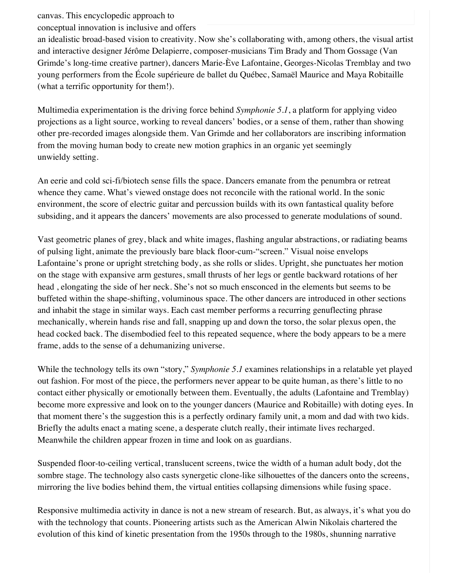canvas. This encyclopedic approach to

conceptual innovation is inclusive and offers

an idealistic broad-based vision to creativity. Now she's collaborating with, among others, the visual artist and interactive designer Jérôme Delapierre, composer-musicians Tim Brady and Thom Gossage (Van Grimde's long-time creative partner), dancers Marie-Ève Lafontaine, Georges-Nicolas Tremblay and two young performers from the École supérieure de ballet du Québec, Samaël Maurice and Maya Robitaille (what a terrific opportunity for them!).

Multimedia experimentation is the driving force behind *Symphonie 5.1*, a platform for applying video projections as a light source, working to reveal dancers' bodies, or a sense of them, rather than showing other pre-recorded images alongside them. Van Grimde and her collaborators are inscribing information from the moving human body to create new motion graphics in an organic yet seemingly unwieldy setting.

An eerie and cold sci-fi/biotech sense fills the space. Dancers emanate from the penumbra or retreat whence they came. What's viewed onstage does not reconcile with the rational world. In the sonic environment, the score of electric guitar and percussion builds with its own fantastical quality before subsiding, and it appears the dancers' movements are also processed to generate modulations of sound.

Vast geometric planes of grey, black and white images, flashing angular abstractions, or radiating beams of pulsing light, animate the previously bare black floor-cum-"screen." Visual noise envelops Lafontaine's prone or upright stretching body, as she rolls or slides. Upright, she punctuates her motion on the stage with expansive arm gestures, small thrusts of her legs or gentle backward rotations of her head , elongating the side of her neck. She's not so much ensconced in the elements but seems to be buffeted within the shape-shifting, voluminous space. The other dancers are introduced in other sections and inhabit the stage in similar ways. Each cast member performs a recurring genuflecting phrase mechanically, wherein hands rise and fall, snapping up and down the torso, the solar plexus open, the head cocked back. The disembodied feel to this repeated sequence, where the body appears to be a mere frame, adds to the sense of a dehumanizing universe.

While the technology tells its own "story," *Symphonie 5.1* examines relationships in a relatable yet played out fashion. For most of the piece, the performers never appear to be quite human, as there's little to no contact either physically or emotionally between them. Eventually, the adults (Lafontaine and Tremblay) become more expressive and look on to the younger dancers (Maurice and Robitaille) with doting eyes. In that moment there's the suggestion this is a perfectly ordinary family unit, a mom and dad with two kids. Briefly the adults enact a mating scene, a desperate clutch really, their intimate lives recharged. Meanwhile the children appear frozen in time and look on as guardians.

Suspended floor-to-ceiling vertical, translucent screens, twice the width of a human adult body, dot the sombre stage. The technology also casts synergetic clone-like silhouettes of the dancers onto the screens, mirroring the live bodies behind them, the virtual entities collapsing dimensions while fusing space.

Responsive multimedia activity in dance is not a new stream of research. But, as always, it's what you do with the technology that counts. Pioneering artists such as the American Alwin Nikolais chartered the evolution of this kind of kinetic presentation from the 1950s through to the 1980s, shunning narrative